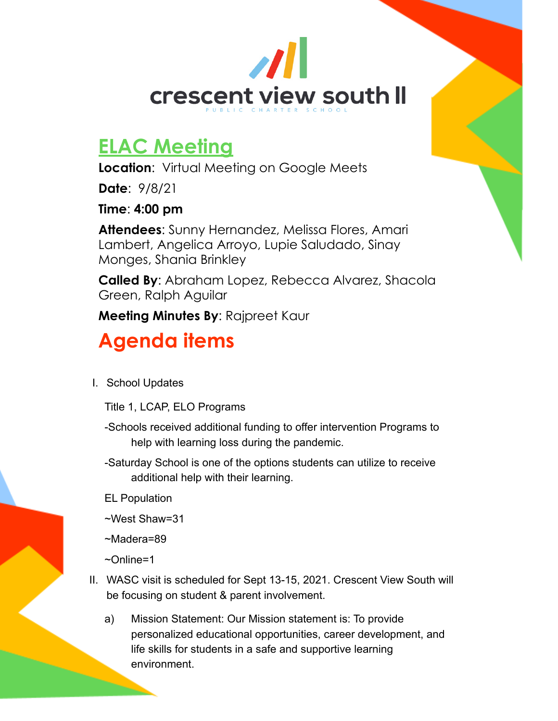

## **ELAC Meeting**

**Location**: Virtual Meeting on Google Meets

**Date**: 9/8/21

**Time**: **4:00 pm**

**Attendees**: Sunny Hernandez, Melissa Flores, Amari Lambert, Angelica Arroyo, Lupie Saludado, Sinay Monges, Shania Brinkley

**Called By**: Abraham Lopez, Rebecca Alvarez, Shacola Green, Ralph Aguilar

**Meeting Minutes By**: Rajpreet Kaur

## **Agenda items**

I. School Updates

Title 1, LCAP, ELO Programs

- -Schools received additional funding to offer intervention Programs to help with learning loss during the pandemic.
- -Saturday School is one of the options students can utilize to receive additional help with their learning.

EL Population

~West Shaw=31

~Madera=89

~Online=1

- II. WASC visit is scheduled for Sept 13-15, 2021. Crescent View South will be focusing on student & parent involvement.
	- a) Mission Statement: Our Mission statement is: To provide personalized educational opportunities, career development, and life skills for students in a safe and supportive learning environment.